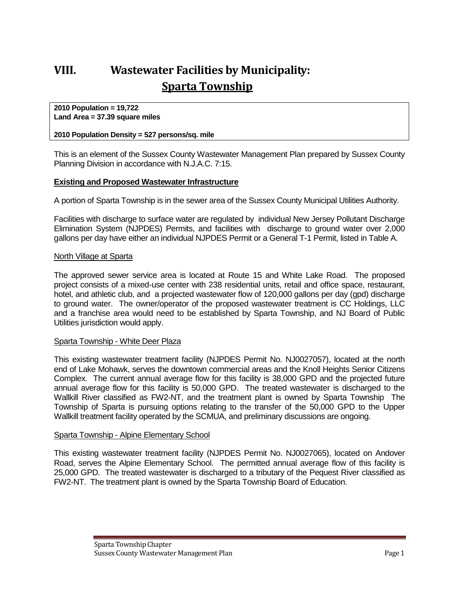# **VIII. Wastewater Facilities by Municipality: Sparta Township**

**2010 Population = 19,722 Land Area = 37.39 square miles**

#### **2010 Population Density = 527 persons/sq. mile**

This is an element of the Sussex County Wastewater Management Plan prepared by Sussex County Planning Division in accordance with N.J.A.C. 7:15.

#### **Existing and Proposed Wastewater Infrastructure**

A portion of Sparta Township is in the sewer area of the Sussex County Municipal Utilities Authority.

Facilities with discharge to surface water are regulated by individual New Jersey Pollutant Discharge Elimination System (NJPDES) Permits, and facilities with discharge to ground water over 2,000 gallons per day have either an individual NJPDES Permit or a General T-1 Permit, listed in Table A.

#### North Village at Sparta

The approved sewer service area is located at Route 15 and White Lake Road. The proposed project consists of a mixed-use center with 238 residential units, retail and office space, restaurant, hotel, and athletic club, and a projected wastewater flow of 120,000 gallons per day (gpd) discharge to ground water. The owner/operator of the proposed wastewater treatment is CC Holdings, LLC and a franchise area would need to be established by Sparta Township, and NJ Board of Public Utilities jurisdiction would apply.

#### Sparta Township - White Deer Plaza

This existing wastewater treatment facility (NJPDES Permit No. NJ0027057), located at the north end of Lake Mohawk, serves the downtown commercial areas and the Knoll Heights Senior Citizens Complex. The current annual average flow for this facility is 38,000 GPD and the projected future annual average flow for this facility is 50,000 GPD. The treated wastewater is discharged to the Wallkill River classified as FW2-NT, and the treatment plant is owned by Sparta Township The Township of Sparta is pursuing options relating to the transfer of the 50,000 GPD to the Upper Wallkill treatment facility operated by the SCMUA, and preliminary discussions are ongoing.

#### Sparta Township - Alpine Elementary School

This existing wastewater treatment facility (NJPDES Permit No. NJ0027065), located on Andover Road, serves the Alpine Elementary School. The permitted annual average flow of this facility is 25,000 GPD. The treated wastewater is discharged to a tributary of the Pequest River classified as FW2-NT. The treatment plant is owned by the Sparta Township Board of Education.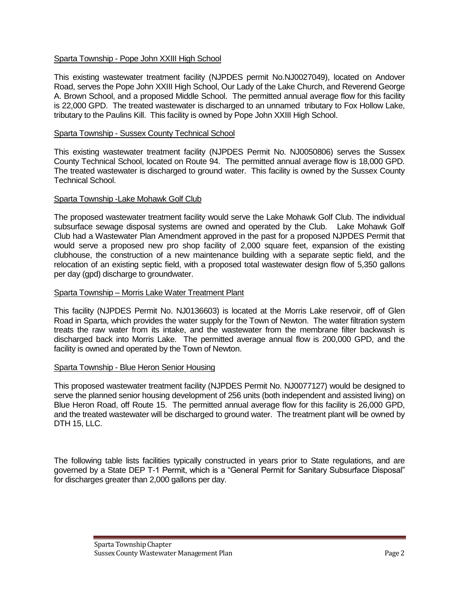## Sparta Township - Pope John XXIII High School

This existing wastewater treatment facility (NJPDES permit No.NJ0027049), located on Andover Road, serves the Pope John XXIII High School, Our Lady of the Lake Church, and Reverend George A. Brown School, and a proposed Middle School. The permitted annual average flow for this facility is 22,000 GPD. The treated wastewater is discharged to an unnamed tributary to Fox Hollow Lake, tributary to the Paulins Kill. This facility is owned by Pope John XXIII High School.

#### Sparta Township - Sussex County Technical School

This existing wastewater treatment facility (NJPDES Permit No. NJ0050806) serves the Sussex County Technical School, located on Route 94. The permitted annual average flow is 18,000 GPD. The treated wastewater is discharged to ground water. This facility is owned by the Sussex County Technical School.

#### Sparta Township -Lake Mohawk Golf Club

The proposed wastewater treatment facility would serve the Lake Mohawk Golf Club. The individual subsurface sewage disposal systems are owned and operated by the Club. Lake Mohawk Golf Club had a Wastewater Plan Amendment approved in the past for a proposed NJPDES Permit that would serve a proposed new pro shop facility of 2,000 square feet, expansion of the existing clubhouse, the construction of a new maintenance building with a separate septic field, and the relocation of an existing septic field, with a proposed total wastewater design flow of 5,350 gallons per day (gpd) discharge to groundwater.

#### Sparta Township – Morris Lake Water Treatment Plant

This facility (NJPDES Permit No. NJ0136603) is located at the Morris Lake reservoir, off of Glen Road in Sparta, which provides the water supply for the Town of Newton. The water filtration system treats the raw water from its intake, and the wastewater from the membrane filter backwash is discharged back into Morris Lake. The permitted average annual flow is 200,000 GPD, and the facility is owned and operated by the Town of Newton.

#### Sparta Township - Blue Heron Senior Housing

This proposed wastewater treatment facility (NJPDES Permit No. NJ0077127) would be designed to serve the planned senior housing development of 256 units (both independent and assisted living) on Blue Heron Road, off Route 15. The permitted annual average flow for this facility is 26,000 GPD, and the treated wastewater will be discharged to ground water. The treatment plant will be owned by DTH 15, LLC.

The following table lists facilities typically constructed in years prior to State regulations, and are governed by a State DEP T-1 Permit, which is a "General Permit for Sanitary Subsurface Disposal" for discharges greater than 2,000 gallons per day.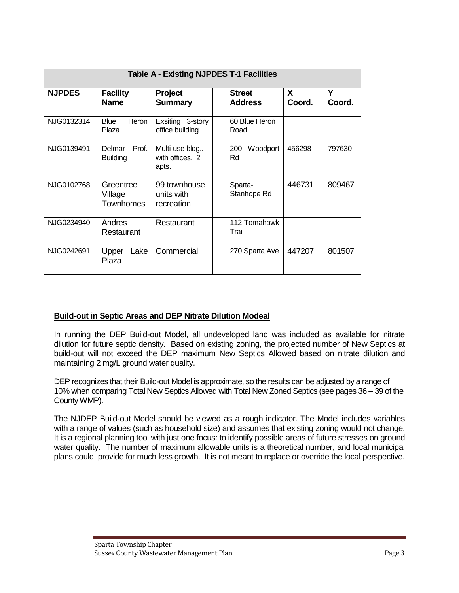| <b>Table A - Existing NJPDES T-1 Facilities</b> |                                    |                                            |  |                                 |             |             |
|-------------------------------------------------|------------------------------------|--------------------------------------------|--|---------------------------------|-------------|-------------|
| <b>NJPDES</b>                                   | <b>Facility</b><br><b>Name</b>     | Project<br><b>Summary</b>                  |  | <b>Street</b><br><b>Address</b> | X<br>Coord. | Υ<br>Coord. |
| NJG0132314                                      | Blue<br>Heron<br>Plaza             | Exsiting 3-story<br>office building        |  | 60 Blue Heron<br>Road           |             |             |
| NJG0139491                                      | Prof.<br>Delmar<br><b>Building</b> | Multi-use bldg<br>with offices, 2<br>apts. |  | 200<br>Woodport<br>Rd           | 456298      | 797630      |
| NJG0102768                                      | Greentree<br>Village<br>Townhomes  | 99 townhouse<br>units with<br>recreation   |  | Sparta-<br>Stanhope Rd          | 446731      | 809467      |
| NJG0234940                                      | Andres<br>Restaurant               | Restaurant                                 |  | 112 Tomahawk<br>Trail           |             |             |
| NJG0242691                                      | Lake<br>Upper<br>Plaza             | Commercial                                 |  | 270 Sparta Ave                  | 447207      | 801507      |

## **Build-out in Septic Areas and DEP Nitrate Dilution Modeal**

In running the DEP Build-out Model, all undeveloped land was included as available for nitrate dilution for future septic density. Based on existing zoning, the projected number of New Septics at build-out will not exceed the DEP maximum New Septics Allowed based on nitrate dilution and maintaining 2 mg/L ground water quality.

DEP recognizes that their Build-out Model is approximate, so the results can be adjusted by a range of 10% when comparing Total New Septics Allowed with Total New Zoned Septics (see pages 36 – 39 of the County WMP).

The NJDEP Build-out Model should be viewed as a rough indicator. The Model includes variables with a range of values (such as household size) and assumes that existing zoning would not change. It is a regional planning tool with just one focus: to identify possible areas of future stresses on ground water quality. The number of maximum allowable units is a theoretical number, and local municipal plans could provide for much less growth. It is not meant to replace or override the local perspective.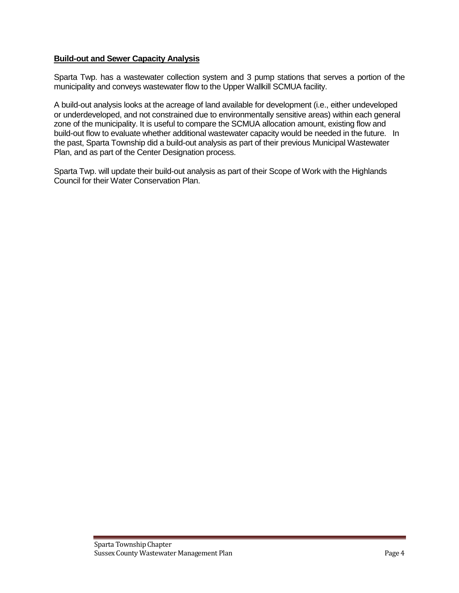## **Build-out and Sewer Capacity Analysis**

Sparta Twp. has a wastewater collection system and 3 pump stations that serves a portion of the municipality and conveys wastewater flow to the Upper Wallkill SCMUA facility.

A build-out analysis looks at the acreage of land available for development (i.e., either undeveloped or underdeveloped, and not constrained due to environmentally sensitive areas) within each general zone of the municipality. It is useful to compare the SCMUA allocation amount, existing flow and build-out flow to evaluate whether additional wastewater capacity would be needed in the future. In the past, Sparta Township did a build-out analysis as part of their previous Municipal Wastewater Plan, and as part of the Center Designation process.

Sparta Twp. will update their build-out analysis as part of their Scope of Work with the Highlands Council for their Water Conservation Plan.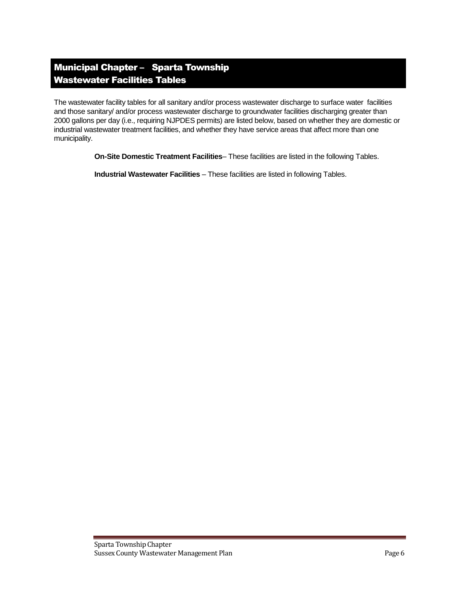## Municipal Chapter – Sparta Township Wastewater Facilities Tables

The wastewater facility tables for all sanitary and/or process wastewater discharge to surface water facilities and those sanitary/ and/or process wastewater discharge to groundwater facilities discharging greater than 2000 gallons per day (i.e., requiring NJPDES permits) are listed below, based on whether they are domestic or industrial wastewater treatment facilities, and whether they have service areas that affect more than one municipality.

**On-Site Domestic Treatment Facilities**– These facilities are listed in the following Tables.

**Industrial Wastewater Facilities** – These facilities are listed in following Tables.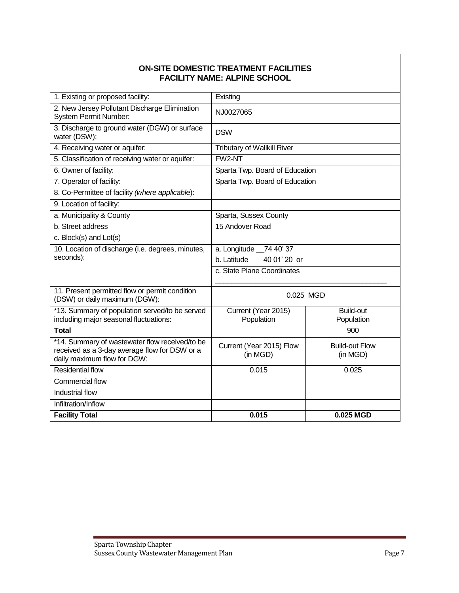## **ON-SITE DOMESTIC TREATMENT FACILITIES FACILITY NAME: ALPINE SCHOOL**

| 1. Existing or proposed facility:                                                                                              | Existing                             |                                   |  |
|--------------------------------------------------------------------------------------------------------------------------------|--------------------------------------|-----------------------------------|--|
| 2. New Jersey Pollutant Discharge Elimination<br>System Permit Number:                                                         | NJ0027065                            |                                   |  |
| 3. Discharge to ground water (DGW) or surface<br>water (DSW):                                                                  | <b>DSW</b>                           |                                   |  |
| 4. Receiving water or aquifer:                                                                                                 | <b>Tributary of Wallkill River</b>   |                                   |  |
| 5. Classification of receiving water or aquifer:                                                                               | FW2-NT                               |                                   |  |
| 6. Owner of facility:                                                                                                          | Sparta Twp. Board of Education       |                                   |  |
| 7. Operator of facility:                                                                                                       | Sparta Twp. Board of Education       |                                   |  |
| 8. Co-Permittee of facility (where applicable):                                                                                |                                      |                                   |  |
| 9. Location of facility:                                                                                                       |                                      |                                   |  |
| a. Municipality & County                                                                                                       | Sparta, Sussex County                |                                   |  |
| b. Street address                                                                                                              | 15 Andover Road                      |                                   |  |
| c. Block(s) and Lot(s)                                                                                                         |                                      |                                   |  |
| 10. Location of discharge (i.e. degrees, minutes,                                                                              | a. Longitude _74 40' 37              |                                   |  |
| seconds):                                                                                                                      | 40 01' 20 or<br>b. Latitude          |                                   |  |
|                                                                                                                                | c. State Plane Coordinates           |                                   |  |
| 11. Present permitted flow or permit condition<br>(DSW) or daily maximum (DGW):                                                | 0.025 MGD                            |                                   |  |
| *13. Summary of population served/to be served<br>including major seasonal fluctuations:                                       | Current (Year 2015)<br>Population    | <b>Build-out</b><br>Population    |  |
| <b>Total</b>                                                                                                                   |                                      | 900                               |  |
| *14. Summary of wastewater flow received/to be<br>received as a 3-day average flow for DSW or a<br>daily maximum flow for DGW: | Current (Year 2015) Flow<br>(in MGD) | <b>Build-out Flow</b><br>(in MGD) |  |
| <b>Residential flow</b>                                                                                                        | 0.015                                | 0.025                             |  |
| <b>Commercial flow</b>                                                                                                         |                                      |                                   |  |
| Industrial flow                                                                                                                |                                      |                                   |  |
| Infiltration/Inflow                                                                                                            |                                      |                                   |  |
| <b>Facility Total</b>                                                                                                          | 0.015                                | 0.025 MGD                         |  |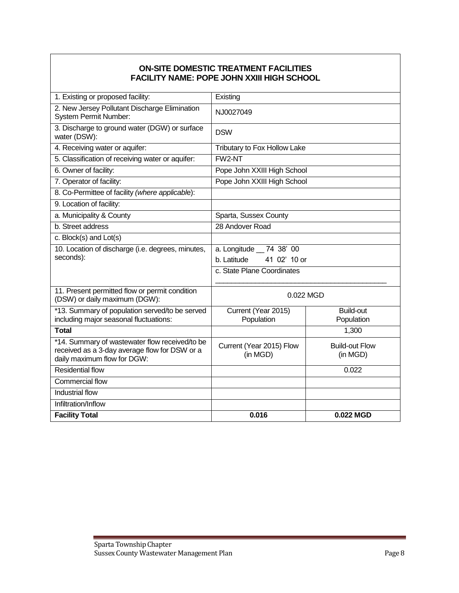## **ON-SITE DOMESTIC TREATMENT FACILITIES FACILITY NAME: POPE JOHN XXIII HIGH SCHOOL**

| 1. Existing or proposed facility:                                                                                              | Existing                             |                                   |  |
|--------------------------------------------------------------------------------------------------------------------------------|--------------------------------------|-----------------------------------|--|
| 2. New Jersey Pollutant Discharge Elimination<br><b>System Permit Number:</b>                                                  | NJ0027049                            |                                   |  |
| 3. Discharge to ground water (DGW) or surface<br>water (DSW):                                                                  | <b>DSW</b>                           |                                   |  |
| 4. Receiving water or aquifer:                                                                                                 | Tributary to Fox Hollow Lake         |                                   |  |
| 5. Classification of receiving water or aquifer:                                                                               | FW2-NT                               |                                   |  |
| 6. Owner of facility:                                                                                                          | Pope John XXIII High School          |                                   |  |
| 7. Operator of facility:                                                                                                       | Pope John XXIII High School          |                                   |  |
| 8. Co-Permittee of facility (where applicable):                                                                                |                                      |                                   |  |
| 9. Location of facility:                                                                                                       |                                      |                                   |  |
| a. Municipality & County                                                                                                       | Sparta, Sussex County                |                                   |  |
| b. Street address                                                                                                              | 28 Andover Road                      |                                   |  |
| c. Block(s) and Lot(s)                                                                                                         |                                      |                                   |  |
| 10. Location of discharge (i.e. degrees, minutes,                                                                              | a. Longitude __ 74 38' 00            |                                   |  |
| seconds):                                                                                                                      | b. Latitude<br>41 02' 10 or          |                                   |  |
|                                                                                                                                | c. State Plane Coordinates           |                                   |  |
|                                                                                                                                |                                      |                                   |  |
| 11. Present permitted flow or permit condition<br>(DSW) or daily maximum (DGW):                                                | 0.022 MGD                            |                                   |  |
| *13. Summary of population served/to be served<br>including major seasonal fluctuations:                                       | Current (Year 2015)<br>Population    | <b>Build-out</b><br>Population    |  |
| <b>Total</b>                                                                                                                   |                                      | 1,300                             |  |
| *14. Summary of wastewater flow received/to be<br>received as a 3-day average flow for DSW or a<br>daily maximum flow for DGW: | Current (Year 2015) Flow<br>(in MGD) | <b>Build-out Flow</b><br>(in MGD) |  |
| <b>Residential flow</b>                                                                                                        |                                      | 0.022                             |  |
| <b>Commercial flow</b>                                                                                                         |                                      |                                   |  |
| Industrial flow                                                                                                                |                                      |                                   |  |
| Infiltration/Inflow                                                                                                            |                                      |                                   |  |
| <b>Facility Total</b>                                                                                                          | 0.016                                | 0.022 MGD                         |  |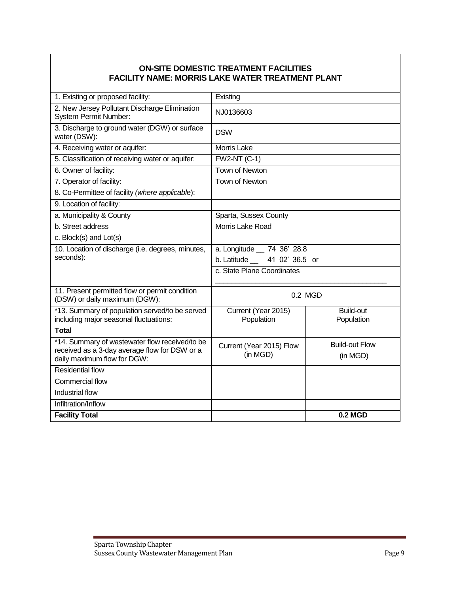## **ON-SITE DOMESTIC TREATMENT FACILITIES FACILITY NAME: MORRIS LAKE WATER TREATMENT PLANT**

| 1. Existing or proposed facility:                                                                                              | Existing                             |                                   |  |
|--------------------------------------------------------------------------------------------------------------------------------|--------------------------------------|-----------------------------------|--|
| 2. New Jersey Pollutant Discharge Elimination<br><b>System Permit Number:</b>                                                  | NJ0136603                            |                                   |  |
| 3. Discharge to ground water (DGW) or surface<br>water (DSW):                                                                  | <b>DSW</b>                           |                                   |  |
| 4. Receiving water or aquifer:                                                                                                 | <b>Morris Lake</b>                   |                                   |  |
| 5. Classification of receiving water or aquifer:                                                                               | <b>FW2-NT (C-1)</b>                  |                                   |  |
| 6. Owner of facility:                                                                                                          | Town of Newton                       |                                   |  |
| 7. Operator of facility:                                                                                                       | Town of Newton                       |                                   |  |
| 8. Co-Permittee of facility (where applicable):                                                                                |                                      |                                   |  |
| 9. Location of facility:                                                                                                       |                                      |                                   |  |
| a. Municipality & County                                                                                                       | Sparta, Sussex County                |                                   |  |
| b. Street address                                                                                                              | Morris Lake Road                     |                                   |  |
| c. Block(s) and Lot(s)                                                                                                         |                                      |                                   |  |
| 10. Location of discharge (i.e. degrees, minutes,                                                                              | a. Longitude __ 74 36' 28.8          |                                   |  |
| seconds):                                                                                                                      | b. Latitude __ 41 02' 36.5 or        |                                   |  |
|                                                                                                                                | c. State Plane Coordinates           |                                   |  |
| 11. Present permitted flow or permit condition<br>(DSW) or daily maximum (DGW):                                                | 0.2 MGD                              |                                   |  |
| *13. Summary of population served/to be served<br>including major seasonal fluctuations:                                       | Current (Year 2015)<br>Population    | <b>Build-out</b><br>Population    |  |
| <b>Total</b>                                                                                                                   |                                      |                                   |  |
| *14. Summary of wastewater flow received/to be<br>received as a 3-day average flow for DSW or a<br>daily maximum flow for DGW: | Current (Year 2015) Flow<br>(in MGD) | <b>Build-out Flow</b><br>(in MGD) |  |
| <b>Residential flow</b>                                                                                                        |                                      |                                   |  |
| Commercial flow                                                                                                                |                                      |                                   |  |
| Industrial flow                                                                                                                |                                      |                                   |  |
| Infiltration/Inflow                                                                                                            |                                      |                                   |  |
| <b>Facility Total</b>                                                                                                          |                                      | <b>0.2 MGD</b>                    |  |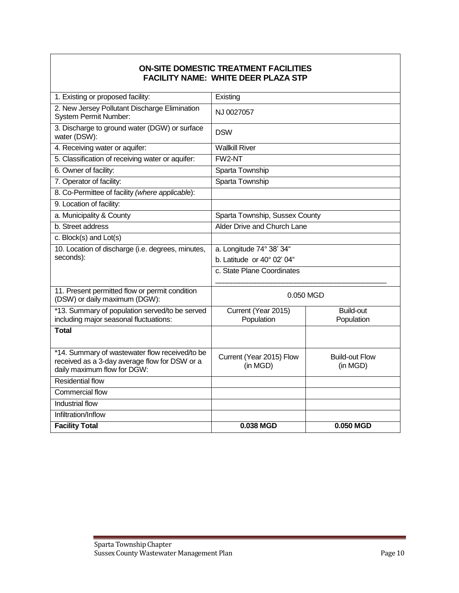## **ON-SITE DOMESTIC TREATMENT FACILITIES FACILITY NAME: WHITE DEER PLAZA STP**

| 1. Existing or proposed facility:                                                                                              | Existing                             |                                   |  |
|--------------------------------------------------------------------------------------------------------------------------------|--------------------------------------|-----------------------------------|--|
| 2. New Jersey Pollutant Discharge Elimination<br><b>System Permit Number:</b>                                                  | NJ 0027057                           |                                   |  |
| 3. Discharge to ground water (DGW) or surface<br>water (DSW):                                                                  | <b>DSW</b>                           |                                   |  |
| 4. Receiving water or aquifer:                                                                                                 | <b>Wallkill River</b>                |                                   |  |
| 5. Classification of receiving water or aquifer:                                                                               | FW2-NT                               |                                   |  |
| 6. Owner of facility:                                                                                                          | Sparta Township                      |                                   |  |
| 7. Operator of facility:                                                                                                       | Sparta Township                      |                                   |  |
| 8. Co-Permittee of facility (where applicable):                                                                                |                                      |                                   |  |
| 9. Location of facility:                                                                                                       |                                      |                                   |  |
| a. Municipality & County                                                                                                       | Sparta Township, Sussex County       |                                   |  |
| b. Street address                                                                                                              | Alder Drive and Church Lane          |                                   |  |
| c. Block(s) and Lot(s)                                                                                                         |                                      |                                   |  |
| 10. Location of discharge (i.e. degrees, minutes,                                                                              | a. Longitude 74° 38' 34"             |                                   |  |
| seconds):                                                                                                                      | b. Latitude or $40^{\circ}$ 02' 04"  |                                   |  |
|                                                                                                                                | c. State Plane Coordinates           |                                   |  |
|                                                                                                                                |                                      |                                   |  |
| 11. Present permitted flow or permit condition<br>(DSW) or daily maximum (DGW):                                                | 0.050 MGD                            |                                   |  |
| *13. Summary of population served/to be served                                                                                 | Current (Year 2015)                  | <b>Build-out</b>                  |  |
| including major seasonal fluctuations:                                                                                         | Population                           | Population                        |  |
| <b>Total</b>                                                                                                                   |                                      |                                   |  |
| *14. Summary of wastewater flow received/to be<br>received as a 3-day average flow for DSW or a<br>daily maximum flow for DGW: | Current (Year 2015) Flow<br>(in MGD) | <b>Build-out Flow</b><br>(in MGD) |  |
| <b>Residential flow</b>                                                                                                        |                                      |                                   |  |
| Commercial flow                                                                                                                |                                      |                                   |  |
| Industrial flow                                                                                                                |                                      |                                   |  |
| Infiltration/Inflow                                                                                                            |                                      |                                   |  |
| <b>Facility Total</b>                                                                                                          | 0.038 MGD                            | 0.050 MGD                         |  |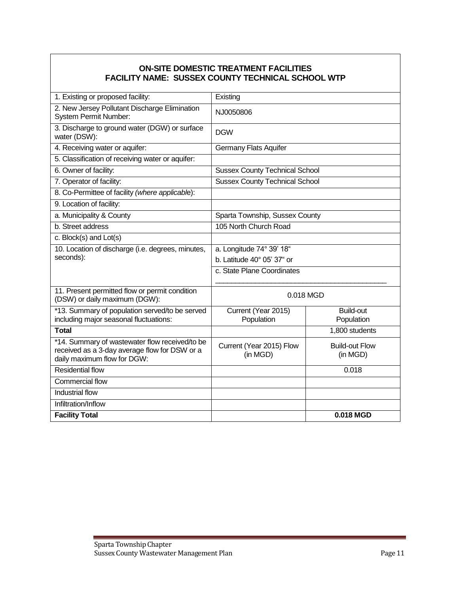## **ON-SITE DOMESTIC TREATMENT FACILITIES FACILITY NAME: SUSSEX COUNTY TECHNICAL SCHOOL WTP**

| 1. Existing or proposed facility:                                                                                              | Existing                              |                                   |  |
|--------------------------------------------------------------------------------------------------------------------------------|---------------------------------------|-----------------------------------|--|
| 2. New Jersey Pollutant Discharge Elimination<br><b>System Permit Number:</b>                                                  | NJ0050806                             |                                   |  |
| 3. Discharge to ground water (DGW) or surface<br>water (DSW):                                                                  | <b>DGW</b>                            |                                   |  |
| 4. Receiving water or aquifer:                                                                                                 | <b>Germany Flats Aquifer</b>          |                                   |  |
| 5. Classification of receiving water or aquifer:                                                                               |                                       |                                   |  |
| 6. Owner of facility:                                                                                                          | <b>Sussex County Technical School</b> |                                   |  |
| 7. Operator of facility:                                                                                                       | <b>Sussex County Technical School</b> |                                   |  |
| 8. Co-Permittee of facility (where applicable):                                                                                |                                       |                                   |  |
| 9. Location of facility:                                                                                                       |                                       |                                   |  |
| a. Municipality & County                                                                                                       | Sparta Township, Sussex County        |                                   |  |
| b. Street address                                                                                                              | 105 North Church Road                 |                                   |  |
| c. Block(s) and Lot(s)                                                                                                         |                                       |                                   |  |
| 10. Location of discharge (i.e. degrees, minutes,                                                                              | a. Longitude 74° 39' 18"              |                                   |  |
| seconds):                                                                                                                      | b. Latitude 40° 05' 37" or            |                                   |  |
|                                                                                                                                | c. State Plane Coordinates            |                                   |  |
| 11. Present permitted flow or permit condition<br>(DSW) or daily maximum (DGW):                                                | 0.018 MGD                             |                                   |  |
| *13. Summary of population served/to be served<br>including major seasonal fluctuations:                                       | Current (Year 2015)<br>Population     | <b>Build-out</b><br>Population    |  |
| <b>Total</b>                                                                                                                   |                                       | 1,800 students                    |  |
| *14. Summary of wastewater flow received/to be<br>received as a 3-day average flow for DSW or a<br>daily maximum flow for DGW: | Current (Year 2015) Flow<br>(in MGD)  | <b>Build-out Flow</b><br>(in MGD) |  |
| <b>Residential flow</b>                                                                                                        |                                       | 0.018                             |  |
| Commercial flow                                                                                                                |                                       |                                   |  |
| Industrial flow                                                                                                                |                                       |                                   |  |
| Infiltration/Inflow                                                                                                            |                                       |                                   |  |
| <b>Facility Total</b>                                                                                                          |                                       | 0.018 MGD                         |  |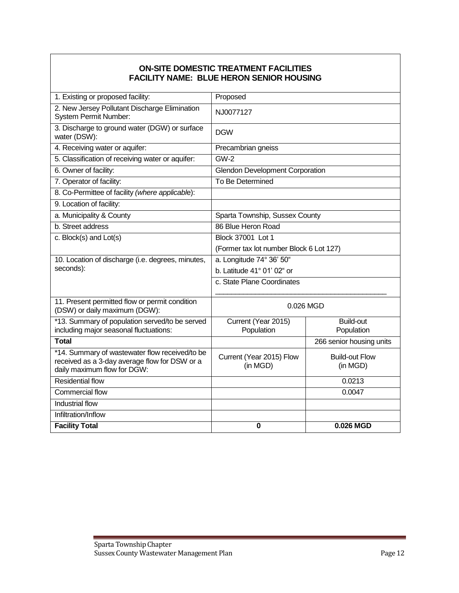## **ON-SITE DOMESTIC TREATMENT FACILITIES FACILITY NAME: BLUE HERON SENIOR HOUSING**

| 1. Existing or proposed facility:                                                                                              | Proposed                                |                                   |  |
|--------------------------------------------------------------------------------------------------------------------------------|-----------------------------------------|-----------------------------------|--|
| 2. New Jersey Pollutant Discharge Elimination<br><b>System Permit Number:</b>                                                  | NJ0077127                               |                                   |  |
| 3. Discharge to ground water (DGW) or surface<br>water (DSW):                                                                  | <b>DGW</b>                              |                                   |  |
| 4. Receiving water or aquifer:                                                                                                 | Precambrian gneiss                      |                                   |  |
| 5. Classification of receiving water or aquifer:                                                                               | $GW-2$                                  |                                   |  |
| 6. Owner of facility:                                                                                                          | <b>Glendon Development Corporation</b>  |                                   |  |
| 7. Operator of facility:                                                                                                       | To Be Determined                        |                                   |  |
| 8. Co-Permittee of facility (where applicable):                                                                                |                                         |                                   |  |
| 9. Location of facility:                                                                                                       |                                         |                                   |  |
| a. Municipality & County                                                                                                       | Sparta Township, Sussex County          |                                   |  |
| b. Street address                                                                                                              | 86 Blue Heron Road                      |                                   |  |
| c. Block(s) and Lot(s)                                                                                                         | Block 37001 Lot 1                       |                                   |  |
|                                                                                                                                | (Former tax lot number Block 6 Lot 127) |                                   |  |
| 10. Location of discharge (i.e. degrees, minutes,                                                                              | a. Longitude 74° 36' 50"                |                                   |  |
| seconds):                                                                                                                      | b. Latitude 41° 01' 02" or              |                                   |  |
|                                                                                                                                | c. State Plane Coordinates              |                                   |  |
| 11. Present permitted flow or permit condition<br>(DSW) or daily maximum (DGW):                                                | 0.026 MGD                               |                                   |  |
| *13. Summary of population served/to be served<br>including major seasonal fluctuations:                                       | Current (Year 2015)<br>Population       | <b>Build-out</b><br>Population    |  |
| <b>Total</b>                                                                                                                   |                                         | 266 senior housing units          |  |
| *14. Summary of wastewater flow received/to be<br>received as a 3-day average flow for DSW or a<br>daily maximum flow for DGW: | Current (Year 2015) Flow<br>(in MGD)    | <b>Build-out Flow</b><br>(in MGD) |  |
| <b>Residential flow</b>                                                                                                        |                                         | 0.0213                            |  |
| Commercial flow                                                                                                                |                                         | 0.0047                            |  |
| Industrial flow                                                                                                                |                                         |                                   |  |
| Infiltration/Inflow                                                                                                            |                                         |                                   |  |
| <b>Facility Total</b>                                                                                                          | $\bf{0}$                                | 0.026 MGD                         |  |